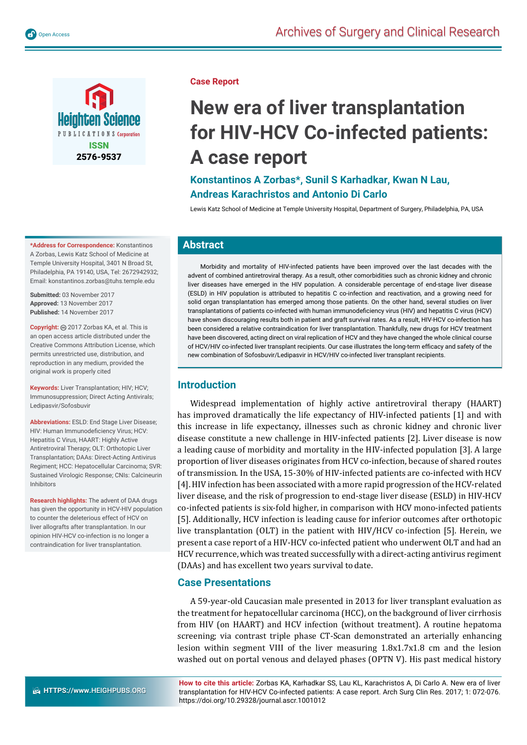

**\*Address for Correspondence:** Konstantinos A Zorbas, Lewis Katz School of Medicine at Temple University Hospital, 3401 N Broad St, Philadelphia, PA 19140, USA, Tel: 2672942932; Email: konstantinos.zorbas@tuhs.temple.edu

**Submitted:** 03 November 2017 **Approved:** 13 November 2017 **Published:** 14 November 2017

Copyright: @ 2017 Zorbas KA, et al. This is an open access article distributed under the Creative Commons Attribution License, which permits unrestricted use, distribution, and reproduction in any medium, provided the original work is properly cited

**Keywords:** Liver Transplantation; HIV; HCV; Immunosuppression; Direct Acting Antivirals; Ledipasvir/Sofosbuvir

**Abbreviations:** ESLD: End Stage Liver Disease; HIV: Human Immunodeficiency Virus; HCV: Hepatitis C Virus, HAART: Highly Active Antiretroviral Therapy; OLT: Orthotopic Liver Transplantation; DAAs: Direct-Acting Antivirus Regiment; HCC: Hepatocellular Carcinoma; SVR: Sustained Virologic Response; CNIs: Calcineurin Inhibitors

**Research highlights:** The advent of DAA drugs has given the opportunity in HCV-HIV population to counter the deleterious effect of HCV on liver allografts after transplantation. In our opinion HIV-HCV co-infection is no longer a contraindication for liver transplantation.

#### **Case Report**

# **New era of liver transplantation for HIV-HCV Co-infected patients: A case report**

# **Konstantinos A Zorbas\*, Sunil S Karhadkar, Kwan N Lau, Andreas Karachristos and Antonio Di Carlo**

Lewis Katz School of Medicine at Temple University Hospital, Department of Surgery, Philadelphia, PA, USA

## **Abstract**

Morbidity and mortality of HIV-infected patients have been improved over the last decades with the advent of combined antiretroviral therapy. As a result, other comorbidities such as chronic kidney and chronic liver diseases have emerged in the HIV population. A considerable percentage of end-stage liver disease (ESLD) in HIV population is attributed to hepatitis C co-infection and reactivation, and a growing need for solid organ transplantation has emerged among those patients. On the other hand, several studies on liver transplantations of patients co-infected with human immunodefi ciency virus (HIV) and hepatitis C virus (HCV) have shown discouraging results both in patient and graft survival rates. As a result, HIV-HCV co-infection has been considered a relative contraindication for liver transplantation. Thankfully, new drugs for HCV treatment have been discovered, acting direct on viral replication of HCV and they have changed the whole clinical course of HCV/HIV co-infected liver transplant recipients. Our case illustrates the long-term efficacy and safety of the new combination of Sofosbuvir/Ledipasvir in HCV/HIV co-infected liver transplant recipients.

## **Introduction**

Widespread implementation of highly active antiretroviral therapy (HAART) has improved dramatically the life expectancy of HIV-infected patients [1] and with this increase in life expectancy, illnesses such as chronic kidney and chronic liver disease constitute a new challenge in HIV-infected patients [2]. Liver disease is now a leading cause of morbidity and mortality in the HIV-infected population [3]. A large proportion of liver diseases originates from HCV co-infection, because of shared routes of transmission. In the USA, 15-30% of HIV-infected patients are co-infected with HCV [4]. HIV infection has been associated with a more rapid progression of the HCV-related liver disease, and the risk of progression to end-stage liver disease (ESLD) in HIV-HCV co-infected patients is six-fold higher, in comparison with HCV mono-infected patients [5]. Additionally, HCV infection is leading cause for inferior outcomes after orthotopic live transplantation (OLT) in the patient with HIV/HCV co-infection [5]. Herein, we present a case report of a HIV-HCV co-infected patient who underwent OLT and had an HCV recurrence, which was treated successfully with a direct-acting antivirus regiment (DAAs) and has excellent two years survival to date.

## **Case Presentations**

A 59-year-old Caucasian male presented in 2013 for liver transplant evaluation as the treatment for hepatocellular carcinoma (HCC), on the background of liver cirrhosis from HIV (on HAART) and HCV infection (without treatment). A routine hepatoma screening; via contrast triple phase CT-Scan demonstrated an arterially enhancing lesion within segment VIII of the liver measuring 1.8x1.7x1.8 cm and the lesion washed out on portal venous and delayed phases (OPTN V). His past medical history

**How to cite this article:** Zorbas KA, Karhadkar SS, Lau KL, Karachristos A, Di Carlo A. New era of liver transplantation for HIV-HCV Co-infected patients: A case report. Arch Surg Clin Res. 2017; 1: 072-076. https://doi.org/10.29328/journal.ascr.1001012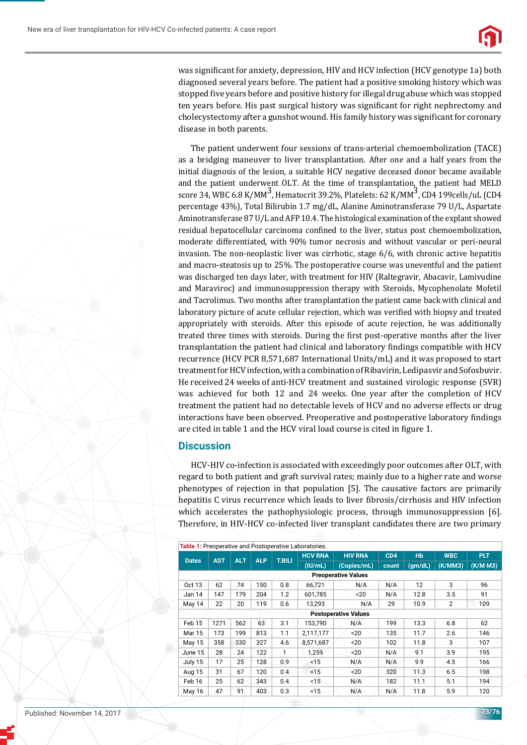

was significant for anxiety, depression, HIV and HCV infection (HCV genotype 1a) both diagnosed several years before. The patient had a positive smoking history which was stopped five years before and positive history for illegal drug abuse which was stopped ten years before. His past surgical history was significant for right nephrectomy and cholecystectomy after a gunshot wound. His family history was significant for coronary disease in both parents.

The patient underwent four sessions of trans-arterial chemoembolization (TACE) as a bridging maneuver to liver transplantation. After one and a half years from the initial diagnosis of the lesion, a suitable HCV negative deceased donor became available and the patient underwent OLT. At the time of transplantation, the patient had MELD score 34, WBC 6.8 K/MM<sup>3</sup>, Hematocrit 39.2%, Platelets: 62 K/MM<sup>3</sup>, CD4 199cells/uL (CD4 percentage 43%), Total Bilirubin 1.7 mg/dL, Alanine Aminotransferase 79 U/L, Aspartate Aminotransferase 87 U/L and AFP 10.4. The histological examination of the explant showed residual hepatocellular carcinoma confined to the liver, status post chemoembolization, moderate differentiated, with 90% tumor necrosis and without vascular or peri-neural invasion. The non-neoplastic liver was cirrhotic, stage 6/6, with chronic active hepatitis and macro-steatosis up to 25%. The postoperative course was uneventful and the patient was discharged ten days later, with treatment for HIV (Raltegravir, Abacavir, Lamivudine and Maraviroc) and immunosuppression therapy with Steroids, Mycophenolate Mofetil and Tacrolimus. Two months after transplantation the patient came back with clinical and laboratory picture of acute cellular rejection, which was verified with biopsy and treated appropriately with steroids. After this episode of acute rejection, he was additionally treated three times with steroids. During the first post-operative months after the liver transplantation the patient had clinical and laboratory findings compatible with HCV recurrence (HCV PCR 8,571,687 International Units/mL) and it was proposed to start treatment for HCV infection, with a combination of Ribavirin, Ledipasvir and Sofosbuvir. He received 24 weeks of anti-HCV treatment and sustained virologic response (SVR) was achieved for both 12 and 24 weeks. One year after the completion of HCV treatment the patient had no detectable levels of HCV and no adverse effects or drug interactions have been observed. Preoperative and postoperative laboratory findings are cited in table 1 and the HCV viral load course is cited in figure 1.

### **Discussion**

HCV-HIV co-infection is associated with exceedingly poor outcomes after OLT, with regard to both patient and graft survival rates; mainly due to a higher rate and worse phenotypes of rejection in that population [5]. The causative factors are primarily hepatitis C virus recurrence which leads to liver fibrosis/cirrhosis and HIV infection which accelerates the pathophysiologic process, through immunosuppression [6]. Therefore, in HIV-HCV co-infected liver transplant candidates there are two primary

| Table 1: Preoperative and Postoperative Laboratories. |            |            |            |               |                |                |       |                      |                |            |
|-------------------------------------------------------|------------|------------|------------|---------------|----------------|----------------|-------|----------------------|----------------|------------|
| <b>Dates</b>                                          | <b>AST</b> | <b>ALT</b> | <b>ALP</b> | <b>T.BILI</b> | <b>HCV RNA</b> | <b>HIV RNA</b> | CD4   | <b>H<sub>b</sub></b> | <b>WBC</b>     | <b>PLT</b> |
|                                                       |            |            |            |               | $($ IU/mL $)$  | (Copies/mL)    | count | (gm/dL)              | (K/MM3)        | (K/M M3)   |
| <b>Preoperative Values</b>                            |            |            |            |               |                |                |       |                      |                |            |
| Oct 13                                                | 62         | 74         | 150        | 0.8           | 66,721         | N/A            | N/A   | 12                   | 3              | 96         |
| Jan 14                                                | 147        | 179        | 204        | 1.2           | 601,785        | $20$           | N/A   | 12.8                 | 3.5            | 91         |
| May 14                                                | 22         | 20         | 119        | 0.6           | 13.293         | N/A            | 29    | 10.9                 | $\overline{2}$ | 109        |
| <b>Postoperative Values</b>                           |            |            |            |               |                |                |       |                      |                |            |
| Feb <sub>15</sub>                                     | 1271       | 562        | 63         | 3.1           | 153.790        | N/A            | 199   | 13.3                 | 6.8            | 62         |
| Mar 15                                                | 173        | 199        | 813        | 1.1           | 2.117.177      | ~120           | 135   | 11.7                 | 2.6            | 146        |
| May 15                                                | 358        | 330        | 327        | 4.6           | 8,571,687      | 20             | 102   | 11.8                 | 3              | 107        |
| June 15                                               | 28         | 24         | 122        | 1             | 1,259          | 20             | N/A   | 9.1                  | 3.9            | 195        |
| July 15                                               | 17         | 25         | 128        | 0.9           | < 15           | N/A            | N/A   | 9.9                  | 4.5            | 166        |
| Aug 15                                                | 31         | 67         | 120        | 0.4           | < 15           | $20$           | 320   | 11.3                 | 6.5            | 198        |
| Feb 16                                                | 25         | 62         | 343        | 0.4           | < 15           | N/A            | 182   | 11.1                 | 5.1            | 194        |
| May 16                                                | 47         | 91         | 403        | 0.3           | < 15           | N/A            | N/A   | 11.8                 | 5.9            | 120        |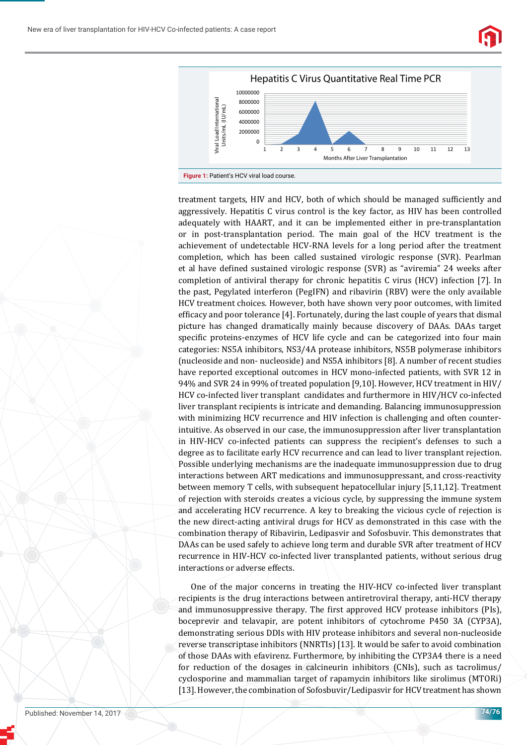New era of liver transplantation for HIV-HCV Co-infected patients: A case report





treatment targets, HIV and HCV, both of which should be managed sufficiently and aggressively. Hepatitis C virus control is the key factor, as HIV has been controlled adequately with HAART, and it can be implemented either in pre-transplantation or in post-transplantation period. The main goal of the HCV treatment is the achievement of undetectable HCV-RNA levels for a long period after the treatment completion, which has been called sustained virologic response (SVR). Pearlman et al have defined sustained virologic response (SVR) as "aviremia" 24 weeks after completion of antiviral therapy for chronic hepatitis C virus (HCV) infection [7]. In the past, Pegylated interferon (PegIFN) and ribavirin (RBV) were the only available HCV treatment choices. However, both have shown very poor outcomes, with limited efficacy and poor tolerance  $[4]$ . Fortunately, during the last couple of years that dismal picture has changed dramatically mainly because discovery of DAAs. DAAs target specific proteins-enzymes of HCV life cycle and can be categorized into four main categories: NS5A inhibitors, NS3/4A protease inhibitors, NS5B polymerase inhibitors (nucleoside and non- nucleoside) and NS5A inhibitors [8]. A number of recent studies have reported exceptional outcomes in HCV mono-infected patients, with SVR 12 in 94% and SVR 24 in 99% of treated population [9,10]. However, HCV treatment in HIV/ HCV co-infected liver transplant candidates and furthermore in HIV/HCV co-infected liver transplant recipients is intricate and demanding. Balancing immunosuppression with minimizing HCV recurrence and HIV infection is challenging and often counterintuitive. As observed in our case, the immunosuppression after liver transplantation in HIV-HCV co-infected patients can suppress the recipient's defenses to such a degree as to facilitate early HCV recurrence and can lead to liver transplant rejection. Possible underlying mechanisms are the inadequate immunosuppression due to drug interactions between ART medications and immunosuppressant, and cross-reactivity between memory T cells, with subsequent hepatocellular injury [5,11,12]. Treatment of rejection with steroids creates a vicious cycle, by suppressing the immune system and accelerating HCV recurrence. A key to breaking the vicious cycle of rejection is the new direct-acting antiviral drugs for HCV as demonstrated in this case with the combination therapy of Ribavirin, Ledipasvir and Sofosbuvir. This demonstrates that DAAs can be used safely to achieve long term and durable SVR after treatment of HCV recurrence in HIV-HCV co-infected liver transplanted patients, without serious drug interactions or adverse effects.

One of the major concerns in treating the HIV-HCV co-infected liver transplant recipients is the drug interactions between antiretroviral therapy, anti-HCV therapy and immunosuppressive therapy. The first approved HCV protease inhibitors (PIs), boceprevir and telavapir, are potent inhibitors of cytochrome P450 3A (CYP3A), demonstrating serious DDIs with HIV protease inhibitors and several non-nucleoside reverse transcriptase inhibitors (NNRTIs) [13]. It would be safer to avoid combination of those DAAs with efavirenz. Furthermore, by inhibiting the CYP3A4 there is a need for reduction of the dosages in calcineurin inhibitors (CNIs), such as tacrolimus/ cyclosporine and mammalian target of rapamycin inhibitors like sirolimus (MTORi) [13]. However, the combination of Sofosbuvir/Ledipasvir for HCV treatment has shown

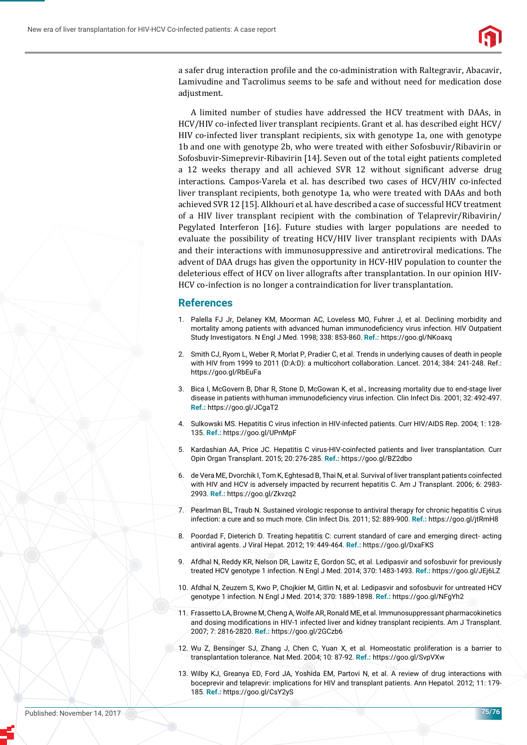

a safer drug interaction profile and the co-administration with Raltegravir, Abacavir, Lamivudine and Tacrolimus seems to be safe and without need for medication dose adjustment.

A limited number of studies have addressed the HCV treatment with DAAs, in HCV/HIV co-infected liver transplant recipients. Grant et al. has described eight HCV/ HIV co-infected liver transplant recipients, six with genotype 1a, one with genotype 1b and one with genotype 2b, who were treated with either Sofosbuvir/Ribavirin or Sofosbuvir-Simeprevir-Ribavirin [14]. Seven out of the total eight patients completed a 12 weeks therapy and all achieved SVR 12 without significant adverse drug interactions. Campos-Varela et al. has described two cases of HCV/HIV co-infected liver transplant recipients, both genotype 1a, who were treated with DAAs and both achieved SVR 12 [15]. Alkhouri et al. have described a case of successful HCV treatment of a HIV liver transplant recipient with the combination of Telaprevir/Ribavirin/ Pegylated Interferon [16]. Future studies with larger populations are needed to evaluate the possibility of treating HCV/HIV liver transplant recipients with DAAs and their interactions with immunosuppressive and antiretroviral medications. The advent of DAA drugs has given the opportunity in HCV-HIV population to counter the deleterious effect of HCV on liver allografts after transplantation. In our opinion HIV-HCV co-infection is no longer a contraindication for liver transplantation.

#### **References**

- 1. Palella FJ Jr, Delaney KM, Moorman AC, Loveless MO, Fuhrer J, et al. Declining morbidity and mortality among patients with advanced human immunodeficiency virus infection. HIV Outpatient Study Investigators. N Engl J Med. 1998; 338: 853-860. **Ref.:** https://goo.gl/NKoaxq
- 2. Smith CJ, Ryom L, Weber R, Morlat P, Pradier C, et al. Trends in underlying causes of death in people with HIV from 1999 to 2011 (D:A:D): a multicohort collaboration. Lancet. 2014; 384: 241-248. Ref.: https://goo.gl/RbEuFa
- 3. Bica I, McGovern B, Dhar R, Stone D, McGowan K, et al., Increasing mortality due to end-stage liver disease in patients with human immunodeficiency virus infection. Clin Infect Dis. 2001; 32: 492-497. **Ref.:** https://goo.gl/JCgaT2
- 4. Sulkowski MS. Hepatitis C virus infection in HIV-infected patients. Curr HIV/AIDS Rep. 2004; 1: 128- 135. **Ref.:** https://goo.gl/UPnMpF
- 5. Kardashian AA, Price JC. Hepatitis C virus-HIV-coinfected patients and liver transplantation. Curr Opin Organ Transplant. 2015; 20: 276-285. **Ref.:** https://goo.gl/BZ2dbo
- 6. de Vera ME, Dvorchik I, Tom K, Eghtesad B, Thai N, et al. Survival of liver transplant patients coinfected with HIV and HCV is adversely impacted by recurrent hepatitis C. Am J Transplant. 2006; 6: 2983- 2993. **Ref.:** https://goo.gl/Zkvzq2
- 7. Pearlman BL, Traub N. Sustained virologic response to antiviral therapy for chronic hepatitis C virus infection: a cure and so much more. Clin Infect Dis. 2011; 52: 889-900. **Ref.:** https://goo.gl/jtRmH8
- 8. Poordad F, Dieterich D. Treating hepatitis C: current standard of care and emerging direct- acting antiviral agents. J Viral Hepat. 2012; 19: 449-464. **Ref.:** https://goo.gl/DxaFKS
- 9. Afdhal N, Reddy KR, Nelson DR, Lawitz E, Gordon SC, et al. Ledipasvir and sofosbuvir for previously treated HCV genotype 1 infection. N Engl J Med. 2014; 370: 1483-1493. **Ref.:** https://goo.gl/JEj6LZ
- 10. Afdhal N, Zeuzem S, Kwo P, Chojkier M, Gitlin N, et al. Ledipasvir and sofosbuvir for untreated HCV genotype 1 infection. N Engl J Med. 2014; 370: 1889-1898. **Ref.:** https://goo.gl/NFgYh2
- 11. Frassetto LA, Browne M, Cheng A, Wolfe AR, Ronald ME, et al. Immunosuppressant pharmacokinetics and dosing modifications in HIV-1 infected liver and kidney transplant recipients. Am J Transplant. 2007; 7: 2816-2820. **Ref.:** https://goo.gl/2GCzb6
- 12. Wu Z, Bensinger SJ, Zhang J, Chen C, Yuan X, et al. Homeostatic proliferation is a barrier to transplantation tolerance. Nat Med. 2004; 10: 87-92. **Ref.:** https://goo.gl/SvpVXw
- 13. Wilby KJ, Greanya ED, Ford JA, Yoshida EM, Partovi N, et al. A review of drug interactions with boceprevir and telaprevir: implications for HIV and transplant patients. Ann Hepatol. 2012; 11: 179- 185. **Ref.:** https://goo.gl/CsY2yS